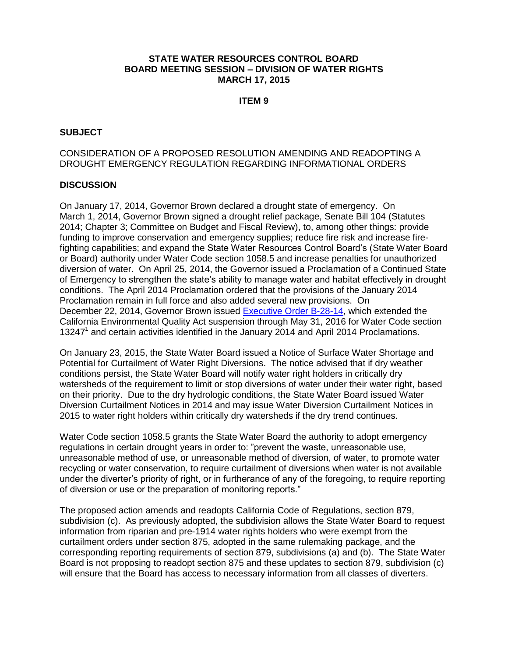### **STATE WATER RESOURCES CONTROL BOARD BOARD MEETING SESSION – DIVISION OF WATER RIGHTS MARCH 17, 2015**

### **ITEM 9**

### **SUBJECT**

### CONSIDERATION OF A PROPOSED RESOLUTION AMENDING AND READOPTING A DROUGHT EMERGENCY REGULATION REGARDING INFORMATIONAL ORDERS

### **DISCUSSION**

On January 17, 2014, Governor Brown declared a drought state of emergency. On March 1, 2014, Governor Brown signed a drought relief package, Senate Bill 104 (Statutes 2014; Chapter 3; Committee on Budget and Fiscal Review), to, among other things: provide funding to improve conservation and emergency supplies; reduce fire risk and increase firefighting capabilities; and expand the State Water Resources Control Board's (State Water Board or Board) authority under Water Code section 1058.5 and increase penalties for unauthorized diversion of water. On April 25, 2014, the Governor issued a Proclamation of a Continued State of Emergency to strengthen the state's ability to manage water and habitat effectively in drought conditions. The April 2014 Proclamation ordered that the provisions of the January 2014 Proclamation remain in full force and also added several new provisions. On December 22, 2014, Governor Brown issued [Executive Order B-28-14,](http://gov.ca.gov/news.php?id=18815) which extended the California Environmental Quality Act suspension through May 31, 2016 for Water Code section 13247<sup>1</sup> and certain activities identified in the January 2014 and April 2014 Proclamations.

On January 23, 2015, the State Water Board issued a Notice of Surface Water Shortage and Potential for Curtailment of Water Right Diversions. The notice advised that if dry weather conditions persist, the State Water Board will notify water right holders in critically dry watersheds of the requirement to limit or stop diversions of water under their water right, based on their priority. Due to the dry hydrologic conditions, the State Water Board issued Water Diversion Curtailment Notices in 2014 and may issue Water Diversion Curtailment Notices in 2015 to water right holders within critically dry watersheds if the dry trend continues.

Water Code section 1058.5 grants the State Water Board the authority to adopt emergency regulations in certain drought years in order to: "prevent the waste, unreasonable use, unreasonable method of use, or unreasonable method of diversion, of water, to promote water recycling or water conservation, to require curtailment of diversions when water is not available under the diverter's priority of right, or in furtherance of any of the foregoing, to require reporting of diversion or use or the preparation of monitoring reports."

The proposed action amends and readopts California Code of Regulations, section 879, subdivision (c). As previously adopted, the subdivision allows the State Water Board to request information from riparian and pre-1914 water rights holders who were exempt from the curtailment orders under section 875, adopted in the same rulemaking package, and the corresponding reporting requirements of section 879, subdivisions (a) and (b). The State Water Board is not proposing to readopt section 875 and these updates to section 879, subdivision (c) will ensure that the Board has access to necessary information from all classes of diverters.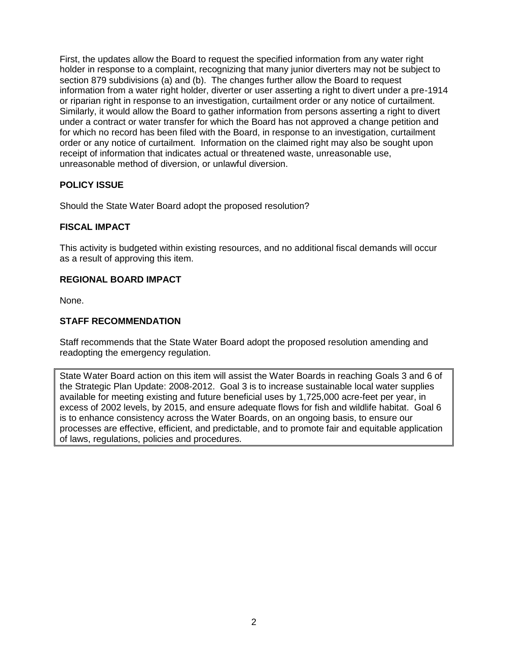First, the updates allow the Board to request the specified information from any water right holder in response to a complaint, recognizing that many junior diverters may not be subject to section 879 subdivisions (a) and (b). The changes further allow the Board to request information from a water right holder, diverter or user asserting a right to divert under a pre-1914 or riparian right in response to an investigation, curtailment order or any notice of curtailment. Similarly, it would allow the Board to gather information from persons asserting a right to divert under a contract or water transfer for which the Board has not approved a change petition and for which no record has been filed with the Board, in response to an investigation, curtailment order or any notice of curtailment. Information on the claimed right may also be sought upon receipt of information that indicates actual or threatened waste, unreasonable use, unreasonable method of diversion, or unlawful diversion.

## **POLICY ISSUE**

Should the State Water Board adopt the proposed resolution?

## **FISCAL IMPACT**

This activity is budgeted within existing resources, and no additional fiscal demands will occur as a result of approving this item.

### **REGIONAL BOARD IMPACT**

None.

## **STAFF RECOMMENDATION**

Staff recommends that the State Water Board adopt the proposed resolution amending and readopting the emergency regulation.

State Water Board action on this item will assist the Water Boards in reaching Goals 3 and 6 of the Strategic Plan Update: 2008-2012. Goal 3 is to increase sustainable local water supplies available for meeting existing and future beneficial uses by 1,725,000 acre-feet per year, in excess of 2002 levels, by 2015, and ensure adequate flows for fish and wildlife habitat. Goal 6 is to enhance consistency across the Water Boards, on an ongoing basis, to ensure our processes are effective, efficient, and predictable, and to promote fair and equitable application of laws, regulations, policies and procedures.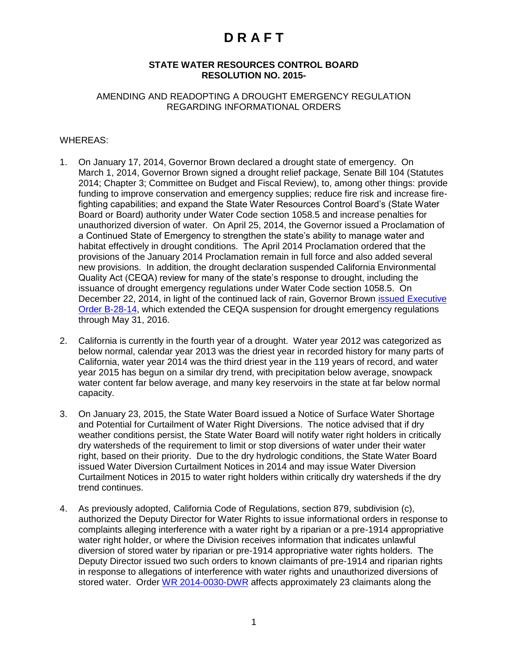### **STATE WATER RESOURCES CONTROL BOARD RESOLUTION NO. 2015-**

### AMENDING AND READOPTING A DROUGHT EMERGENCY REGULATION REGARDING INFORMATIONAL ORDERS

### WHEREAS:

- 1. On January 17, 2014, Governor Brown declared a drought state of emergency. On March 1, 2014, Governor Brown signed a drought relief package, Senate Bill 104 (Statutes 2014; Chapter 3; Committee on Budget and Fiscal Review), to, among other things: provide funding to improve conservation and emergency supplies; reduce fire risk and increase firefighting capabilities; and expand the State Water Resources Control Board's (State Water Board or Board) authority under Water Code section 1058.5 and increase penalties for unauthorized diversion of water. On April 25, 2014, the Governor issued a Proclamation of a Continued State of Emergency to strengthen the state's ability to manage water and habitat effectively in drought conditions. The April 2014 Proclamation ordered that the provisions of the January 2014 Proclamation remain in full force and also added several new provisions. In addition, the drought declaration suspended California Environmental Quality Act (CEQA) review for many of the state's response to drought, including the issuance of drought emergency regulations under Water Code section 1058.5. On December 22, 2014, in light of the continued lack of rain, Governor Brown [issued Executive](http://gov.ca.gov/news.php?id=18815)  [Order B-28-14,](http://gov.ca.gov/news.php?id=18815) which extended the CEQA suspension for drought emergency regulations through May 31, 2016.
- 2. California is currently in the fourth year of a drought. Water year 2012 was categorized as below normal, calendar year 2013 was the driest year in recorded history for many parts of California, water year 2014 was the third driest year in the 119 years of record, and water year 2015 has begun on a similar dry trend, with precipitation below average, snowpack water content far below average, and many key reservoirs in the state at far below normal capacity.
- 3. On January 23, 2015, the State Water Board issued a Notice of Surface Water Shortage and Potential for Curtailment of Water Right Diversions. The notice advised that if dry weather conditions persist, the State Water Board will notify water right holders in critically dry watersheds of the requirement to limit or stop diversions of water under their water right, based on their priority. Due to the dry hydrologic conditions, the State Water Board issued Water Diversion Curtailment Notices in 2014 and may issue Water Diversion Curtailment Notices in 2015 to water right holders within critically dry watersheds if the dry trend continues.
- 4. As previously adopted, California Code of Regulations, section 879, subdivision (c), authorized the Deputy Director for Water Rights to issue informational orders in response to complaints alleging interference with a water right by a riparian or a pre-1914 appropriative water right holder, or where the Division receives information that indicates unlawful diversion of stored water by riparian or pre-1914 appropriative water rights holders. The Deputy Director issued two such orders to known claimants of pre-1914 and riparian rights in response to allegations of interference with water rights and unauthorized diversions of stored water. Order [WR 2014-0030-DWR](http://www.waterboards.ca.gov/waterrights/board_decisions/adopted_orders/orders/2014/wro2014_0030_dwr.pdf) affects approximately 23 claimants along the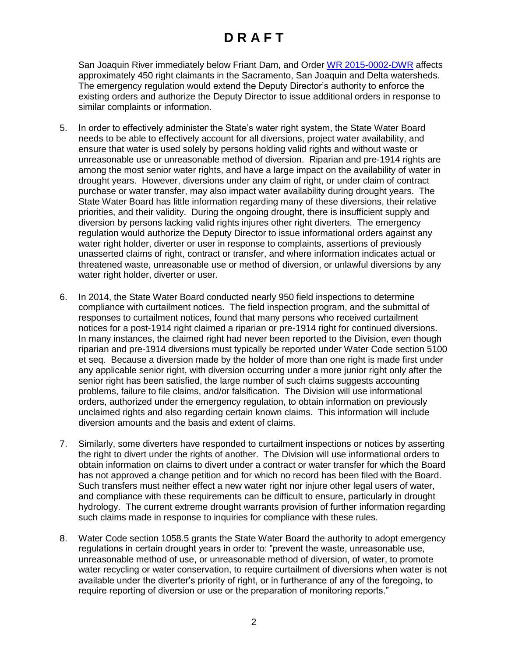San Joaquin River immediately below Friant Dam, and Order [WR 2015-0002-DWR](http://www.waterboards.ca.gov/waterrights/board_decisions/adopted_orders/orders/2015/wro2015_0002.pdf) affects approximately 450 right claimants in the Sacramento, San Joaquin and Delta watersheds. The emergency regulation would extend the Deputy Director's authority to enforce the existing orders and authorize the Deputy Director to issue additional orders in response to similar complaints or information.

- 5. In order to effectively administer the State's water right system, the State Water Board needs to be able to effectively account for all diversions, project water availability, and ensure that water is used solely by persons holding valid rights and without waste or unreasonable use or unreasonable method of diversion. Riparian and pre-1914 rights are among the most senior water rights, and have a large impact on the availability of water in drought years. However, diversions under any claim of right, or under claim of contract purchase or water transfer, may also impact water availability during drought years. The State Water Board has little information regarding many of these diversions, their relative priorities, and their validity. During the ongoing drought, there is insufficient supply and diversion by persons lacking valid rights injures other right diverters. The emergency regulation would authorize the Deputy Director to issue informational orders against any water right holder, diverter or user in response to complaints, assertions of previously unasserted claims of right, contract or transfer, and where information indicates actual or threatened waste, unreasonable use or method of diversion, or unlawful diversions by any water right holder, diverter or user.
- 6. In 2014, the State Water Board conducted nearly 950 field inspections to determine compliance with curtailment notices. The field inspection program, and the submittal of responses to curtailment notices, found that many persons who received curtailment notices for a post-1914 right claimed a riparian or pre-1914 right for continued diversions. In many instances, the claimed right had never been reported to the Division, even though riparian and pre-1914 diversions must typically be reported under Water Code section 5100 et seq. Because a diversion made by the holder of more than one right is made first under any applicable senior right, with diversion occurring under a more junior right only after the senior right has been satisfied, the large number of such claims suggests accounting problems, failure to file claims, and/or falsification. The Division will use informational orders, authorized under the emergency regulation, to obtain information on previously unclaimed rights and also regarding certain known claims. This information will include diversion amounts and the basis and extent of claims.
- 7. Similarly, some diverters have responded to curtailment inspections or notices by asserting the right to divert under the rights of another. The Division will use informational orders to obtain information on claims to divert under a contract or water transfer for which the Board has not approved a change petition and for which no record has been filed with the Board. Such transfers must neither effect a new water right nor injure other legal users of water, and compliance with these requirements can be difficult to ensure, particularly in drought hydrology. The current extreme drought warrants provision of further information regarding such claims made in response to inquiries for compliance with these rules.
- 8. Water Code section 1058.5 grants the State Water Board the authority to adopt emergency regulations in certain drought years in order to: "prevent the waste, unreasonable use, unreasonable method of use, or unreasonable method of diversion, of water, to promote water recycling or water conservation, to require curtailment of diversions when water is not available under the diverter's priority of right, or in furtherance of any of the foregoing, to require reporting of diversion or use or the preparation of monitoring reports."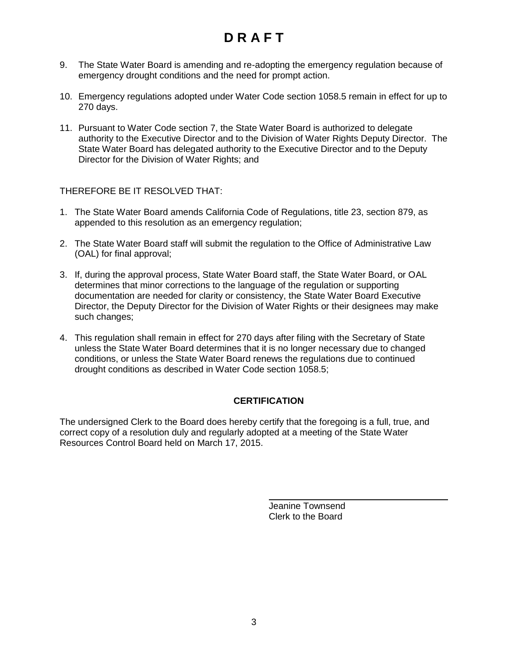- 9. The State Water Board is amending and re-adopting the emergency regulation because of emergency drought conditions and the need for prompt action.
- 10. Emergency regulations adopted under Water Code section 1058.5 remain in effect for up to 270 days.
- 11. Pursuant to Water Code section 7, the State Water Board is authorized to delegate authority to the Executive Director and to the Division of Water Rights Deputy Director. The State Water Board has delegated authority to the Executive Director and to the Deputy Director for the Division of Water Rights; and

THEREFORE BE IT RESOLVED THAT:

- 1. The State Water Board amends California Code of Regulations, title 23, section 879, as appended to this resolution as an emergency regulation;
- 2. The State Water Board staff will submit the regulation to the Office of Administrative Law (OAL) for final approval;
- 3. If, during the approval process, State Water Board staff, the State Water Board, or OAL determines that minor corrections to the language of the regulation or supporting documentation are needed for clarity or consistency, the State Water Board Executive Director, the Deputy Director for the Division of Water Rights or their designees may make such changes;
- 4. This regulation shall remain in effect for 270 days after filing with the Secretary of State unless the State Water Board determines that it is no longer necessary due to changed conditions, or unless the State Water Board renews the regulations due to continued drought conditions as described in Water Code section 1058.5;

## **CERTIFICATION**

The undersigned Clerk to the Board does hereby certify that the foregoing is a full, true, and correct copy of a resolution duly and regularly adopted at a meeting of the State Water Resources Control Board held on March 17, 2015.

> Jeanine Townsend Clerk to the Board